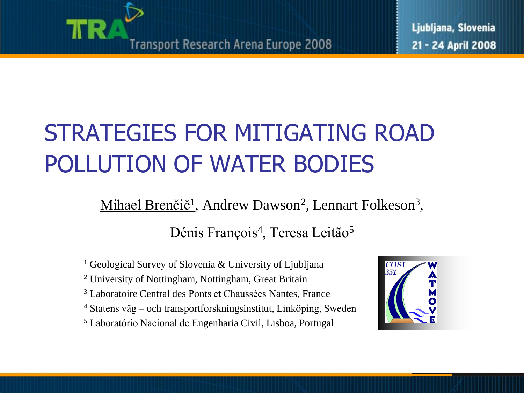

### STRATEGIES FOR MITIGATING ROAD POLLUTION OF WATER BODIES

Mihael Brenčič<sup>1</sup>, Andrew Dawson<sup>2</sup>, Lennart Folkeson<sup>3</sup>, Dénis François<sup>4</sup>, Teresa Leitão<sup>5</sup>

- <sup>1</sup> Geological Survey of Slovenia & University of Ljubljana
- <sup>2</sup> University of Nottingham, Nottingham, Great Britain
- <sup>3</sup> Laboratoire Central des Ponts et Chaussées Nantes, France
- <sup>4</sup> Statens väg och transportforskningsinstitut, Linköping, Sweden
- <sup>5</sup> Laboratório Nacional de Engenharia Civil, Lisboa, Portugal

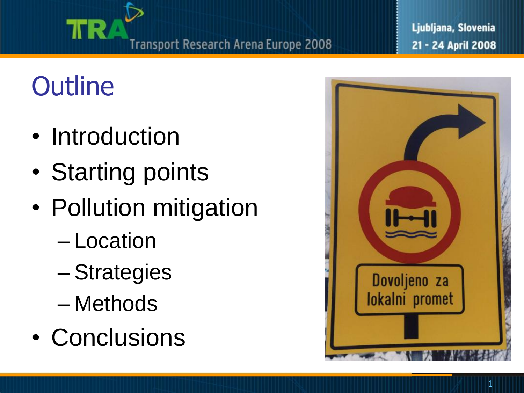

# **Outline**

TR.

- Introduction
- Starting points
- Pollution mitigation
	- Location
	- Strategies
	- Methods
- Conclusions

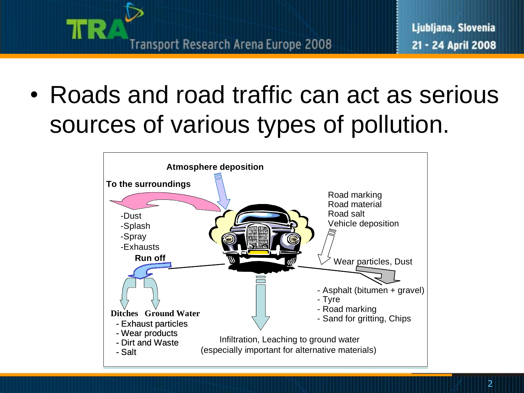

• Roads and road traffic can act as serious sources of various types of pollution.

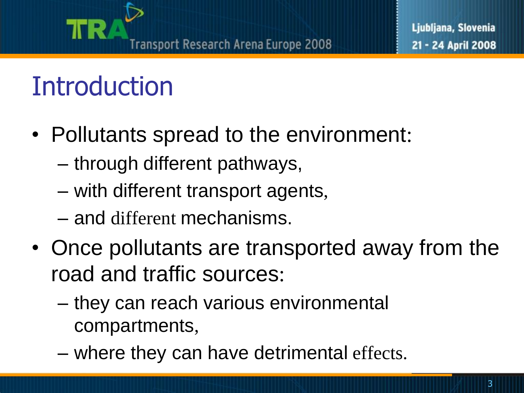#### Transport Research Arena Europe 2008

## **Introduction**

- Pollutants spread to the environment:
	- through different pathways,
	- with different transport agents,
	- and different mechanisms.
- Once pollutants are transported away from the road and traffic sources:
	- they can reach various environmental compartments,
	- where they can have detrimental effects.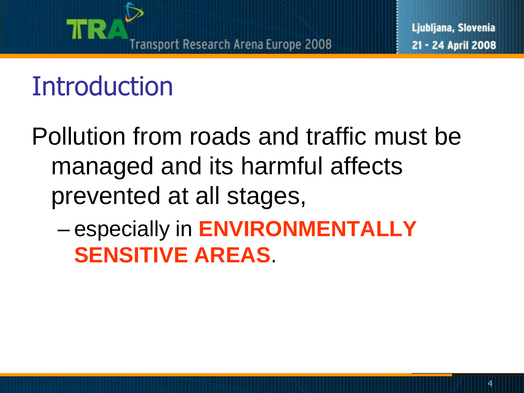

## **Introduction**

Pollution from roads and traffic must be managed and its harmful affects prevented at all stages,

– especially in **ENVIRONMENTALLY SENSITIVE AREAS**.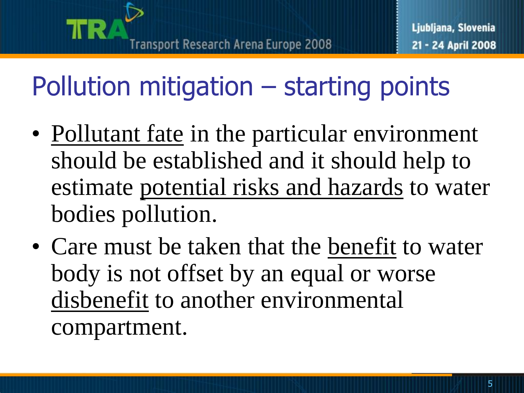# Pollution mitigation – starting points

- Pollutant fate in the particular environment should be established and it should help to estimate potential risks and hazards to water bodies pollution.
- Care must be taken that the benefit to water body is not offset by an equal or worse disbenefit to another environmental compartment.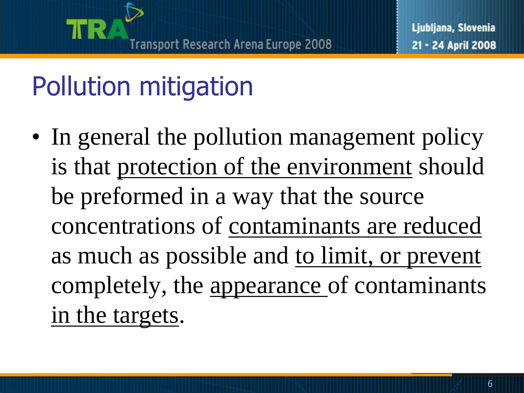# Pollution mitigation

• In general the pollution management policy is that protection of the environment should be preformed in a way that the source concentrations of contaminants are reduced as much as possible and <u>to limit</u>, or prevent completely, the appearance of contaminants in the targets.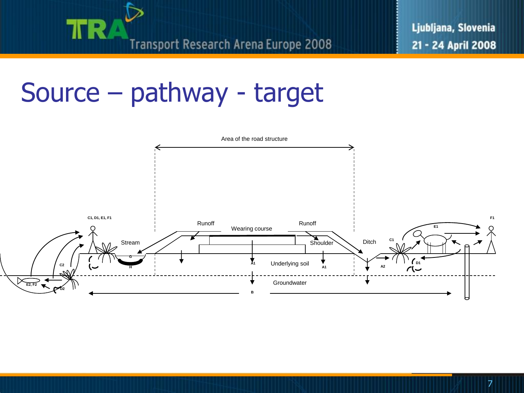

### Source – pathway - target

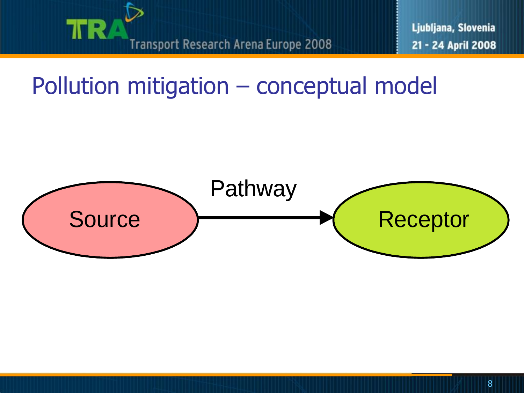

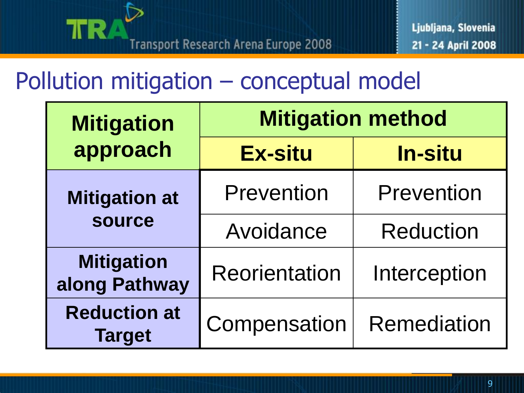

| <b>Mitigation</b>                    | <b>Mitigation method</b> |                    |
|--------------------------------------|--------------------------|--------------------|
| approach                             | <b>Ex-situ</b>           | <b>In-situ</b>     |
| <b>Mitigation at</b>                 | <b>Prevention</b>        | Prevention         |
| <b>source</b>                        | Avoidance                | <b>Reduction</b>   |
| <b>Mitigation</b><br>along Pathway   | <b>Reorientation</b>     | Interception       |
| <b>Reduction at</b><br><b>Target</b> | Compensation             | <b>Remediation</b> |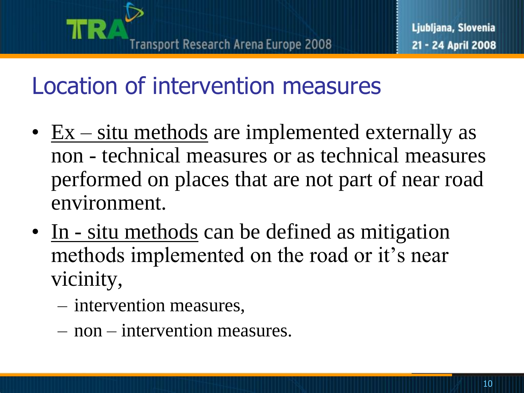### Location of intervention measures

- $Ex situ$  methods are implemented externally as non - technical measures or as technical measures performed on places that are not part of near road environment.
- In situ methods can be defined as mitigation methods implemented on the road or it's near vicinity,
	- intervention measures,
	- non intervention measures.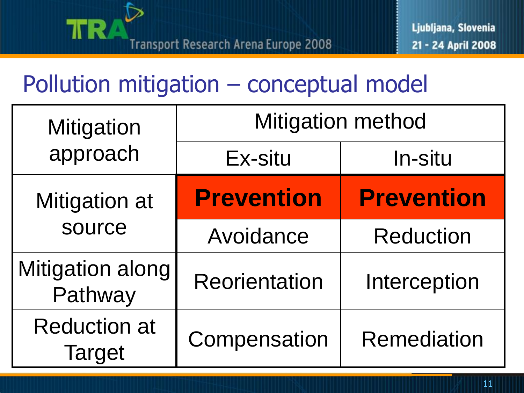

| <b>Mitigation</b>                    | <b>Mitigation method</b> |                    |
|--------------------------------------|--------------------------|--------------------|
| approach                             | Ex-situ                  | <b>In-situ</b>     |
| Mitigation at                        | <b>Prevention</b>        | <b>Prevention</b>  |
| source                               | Avoidance                | <b>Reduction</b>   |
| <b>Mitigation along</b><br>Pathway   | <b>Reorientation</b>     | Interception       |
| <b>Reduction at</b><br><b>Target</b> | Compensation             | <b>Remediation</b> |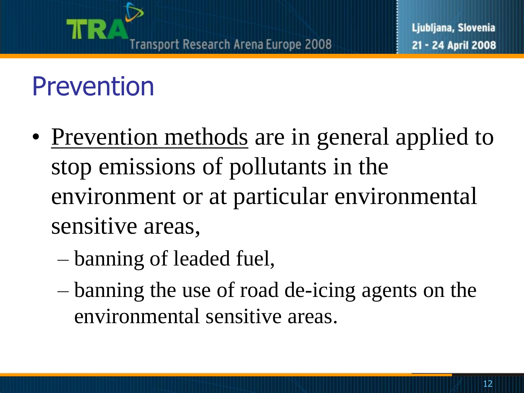### Prevention

- Prevention methods are in general applied to stop emissions of pollutants in the environment or at particular environmental sensitive areas,
	- banning of leaded fuel,
	- banning the use of road de-icing agents on the environmental sensitive areas.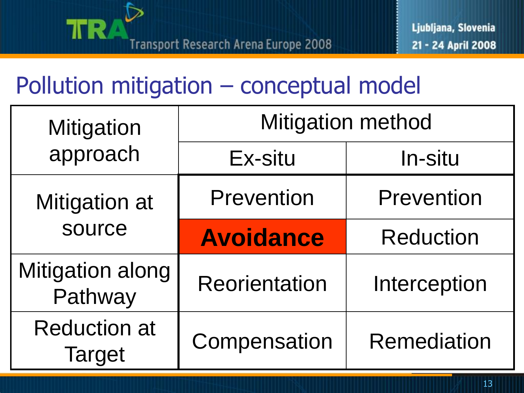

| <b>Mitigation</b>                    | <b>Mitigation method</b> |                    |
|--------------------------------------|--------------------------|--------------------|
| approach                             | Ex-situ                  | In-situ            |
| <b>Mitigation at</b><br>source       | Prevention               | Prevention         |
|                                      | <b>Avoidance</b>         | <b>Reduction</b>   |
| <b>Mitigation along</b><br>Pathway   | <b>Reorientation</b>     | Interception       |
| <b>Reduction at</b><br><b>Target</b> | Compensation             | <b>Remediation</b> |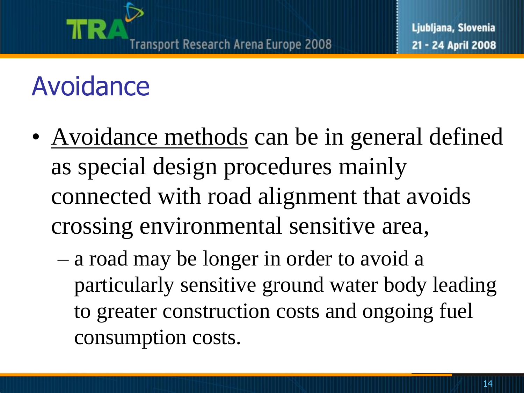## Avoidance

- Avoidance methods can be in general defined as special design procedures mainly connected with road alignment that avoids crossing environmental sensitive area,
	- a road may be longer in order to avoid a particularly sensitive ground water body leading to greater construction costs and ongoing fuel consumption costs.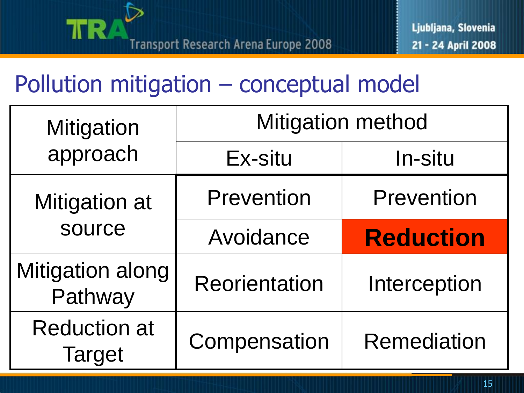

| Mitigation<br>approach               | <b>Mitigation method</b> |                    |
|--------------------------------------|--------------------------|--------------------|
|                                      | Ex-situ                  | <b>In-situ</b>     |
| <b>Mitigation at</b><br>source       | <b>Prevention</b>        | <b>Prevention</b>  |
|                                      | Avoidance                | <b>Reduction</b>   |
| Mitigation along<br>Pathway          | <b>Reorientation</b>     | Interception       |
| <b>Reduction at</b><br><b>Target</b> | Compensation             | <b>Remediation</b> |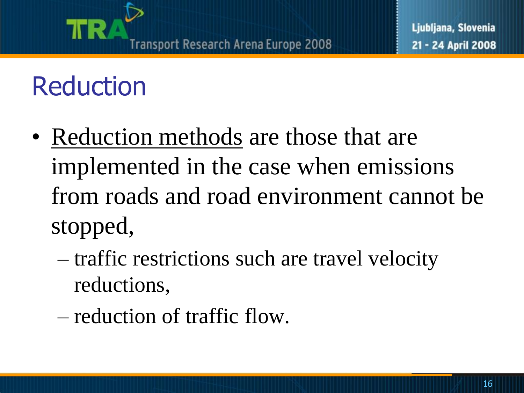## Reduction

- Reduction methods are those that are implemented in the case when emissions from roads and road environment cannot be stopped,
	- traffic restrictions such are travel velocity reductions,
	- reduction of traffic flow.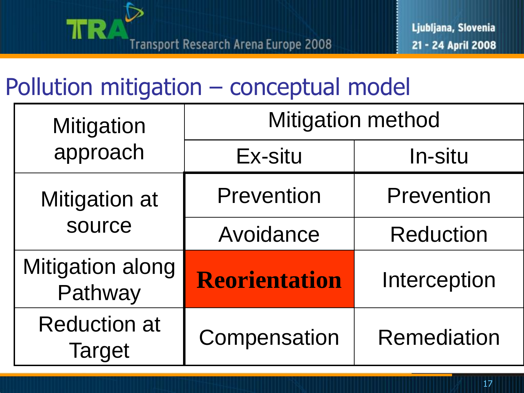

| <b>Mitigation</b>                  | <b>Mitigation method</b> |                    |
|------------------------------------|--------------------------|--------------------|
| approach                           | Ex-situ                  | In-situ            |
| <b>Mitigation at</b>               | <b>Prevention</b>        | <b>Prevention</b>  |
| source                             | Avoidance                | <b>Reduction</b>   |
| <b>Mitigation along</b><br>Pathway | Reorientation            | Interception       |
| <b>Reduction at</b><br>Target      | Compensation             | <b>Remediation</b> |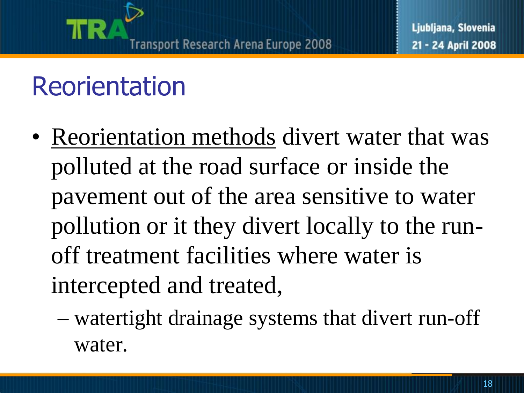## Reorientation

- Reorientation methods divert water that was polluted at the road surface or inside the pavement out of the area sensitive to water pollution or it they divert locally to the runoff treatment facilities where water is intercepted and treated,
	- watertight drainage systems that divert run-off water.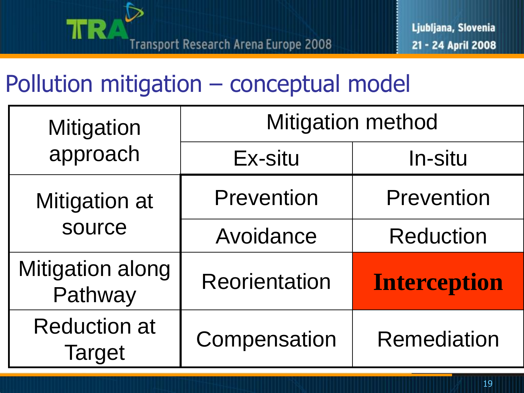

| <b>Mitigation</b><br>approach        | <b>Mitigation method</b> |                     |
|--------------------------------------|--------------------------|---------------------|
|                                      | Ex-situ                  | In-situ             |
| Mitigation at<br>source              | <b>Prevention</b>        | <b>Prevention</b>   |
|                                      | Avoidance                | <b>Reduction</b>    |
| <b>Mitigation along</b><br>Pathway   | <b>Reorientation</b>     | <b>Interception</b> |
| <b>Reduction at</b><br><b>Target</b> | Compensation             | <b>Remediation</b>  |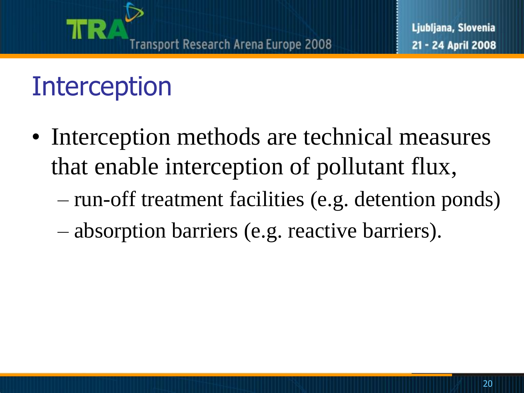# Interception

- Interception methods are technical measures that enable interception of pollutant flux,
	- run-off treatment facilities (e.g. detention ponds)
	- absorption barriers (e.g. reactive barriers).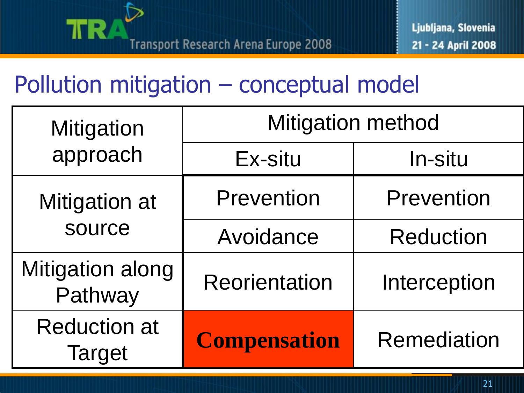

| <b>Mitigation</b>                    | <b>Mitigation method</b> |                    |
|--------------------------------------|--------------------------|--------------------|
| approach                             | Ex-situ                  | In-situ            |
| <b>Mitigation at</b><br>source       | <b>Prevention</b>        | <b>Prevention</b>  |
|                                      | Avoidance                | <b>Reduction</b>   |
| <b>Mitigation along</b><br>Pathway   | <b>Reorientation</b>     | Interception       |
| <b>Reduction at</b><br><b>Target</b> | <b>Compensation</b>      | <b>Remediation</b> |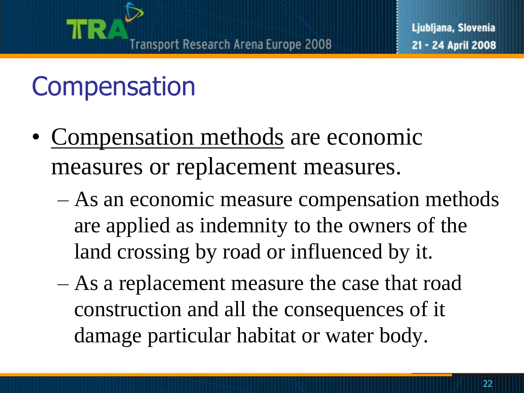

# **Compensation**

- Compensation methods are economic measures or replacement measures.
	- As an economic measure compensation methods are applied as indemnity to the owners of the land crossing by road or influenced by it.
	- As a replacement measure the case that road construction and all the consequences of it damage particular habitat or water body.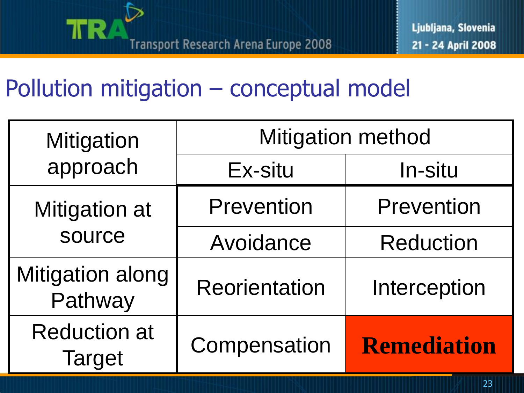

| <b>Mitigation</b>                    | <b>Mitigation method</b> |                    |
|--------------------------------------|--------------------------|--------------------|
| approach                             | Ex-situ                  | In-situ            |
| <b>Mitigation at</b>                 | <b>Prevention</b>        | <b>Prevention</b>  |
| source                               | Avoidance                | <b>Reduction</b>   |
| <b>Mitigation along</b><br>Pathway   | Reorientation            | Interception       |
| <b>Reduction at</b><br><b>Target</b> | Compensation             | <b>Remediation</b> |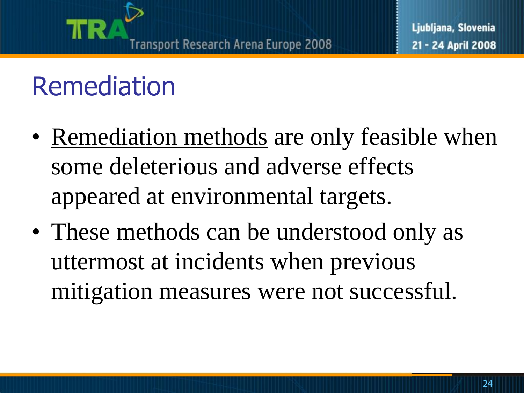

## Remediation

- Remediation methods are only feasible when some deleterious and adverse effects appeared at environmental targets.
- These methods can be understood only as uttermost at incidents when previous mitigation measures were not successful.